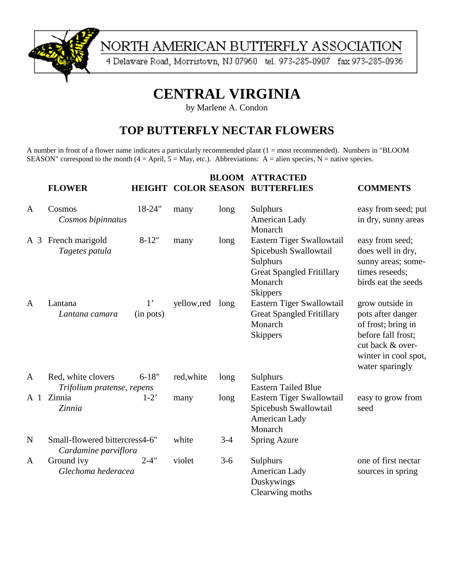

# NORTH AMERICAN BUTTERFLY ASSOCIATION

4 Delaware Road, Morristown, NJ 07960 tel. 973-285-0907 fax 973-285-0936

# **CENTRAL VIRGINIA**

by Marlene A. Condon

### **TOP BUTTERFLY NECTAR FLOWERS**

A number in front of a flower name indicates a particularly recommended plant (1 = most recommended). Numbers in "BLOOM SEASON" correspond to the month  $(4 = April, 5 = May, etc.).$  Abbreviations: A = alien species, N = native species.

|                | <b>FLOWER</b>                                          |                             |            |       | <b>BLOOM ATTRACTED</b><br><b>HEIGHT COLOR SEASON BUTTERFLIES</b>                                                                 | <b>COMMENTS</b>                                                                                                                                 |
|----------------|--------------------------------------------------------|-----------------------------|------------|-------|----------------------------------------------------------------------------------------------------------------------------------|-------------------------------------------------------------------------------------------------------------------------------------------------|
| $\mathbf{A}$   | Cosmos<br>Cosmos bipinnatus                            | 18-24"                      | many       | long  | Sulphurs<br>American Lady<br>Monarch                                                                                             | easy from seed; put<br>in dry, sunny areas                                                                                                      |
|                | A 3 French marigold<br>Tagetes patula                  | $8-12"$                     | many       | long  | Eastern Tiger Swallowtail<br>Spicebush Swallowtail<br>Sulphurs<br><b>Great Spangled Fritillary</b><br>Monarch<br><b>Skippers</b> | easy from seed;<br>does well in dry,<br>sunny areas; some-<br>times reseeds;<br>birds eat the seeds                                             |
| A              | Lantana<br>Lantana camara                              | 1 <sup>1</sup><br>(in pots) | yellow,red | long  | Eastern Tiger Swallowtail<br><b>Great Spangled Fritillary</b><br>Monarch<br><b>Skippers</b>                                      | grow outside in<br>pots after danger<br>of frost; bring in<br>before fall frost;<br>cut back & over-<br>winter in cool spot,<br>water sparingly |
| A              | Red, white clovers<br>Trifolium pratense, repens       | $6 - 18"$                   | red, white | long  | Sulphurs<br><b>Eastern Tailed Blue</b>                                                                                           |                                                                                                                                                 |
| A <sub>1</sub> | Zinnia<br>Zinnia                                       | $1-2$ <sup>*</sup>          | many       | long  | Eastern Tiger Swallowtail<br>Spicebush Swallowtail<br>American Lady<br>Monarch                                                   | easy to grow from<br>seed                                                                                                                       |
| $\mathbf N$    | Small-flowered bittercress4-6"<br>Cardamine parviflora |                             | white      | $3-4$ | <b>Spring Azure</b>                                                                                                              |                                                                                                                                                 |
| A              | Ground ivy<br>Glechoma hederacea                       | $2 - 4"$                    | violet     | $3-6$ | Sulphurs<br>American Lady<br>Duskywings<br>Clearwing moths                                                                       | one of first nectar<br>sources in spring                                                                                                        |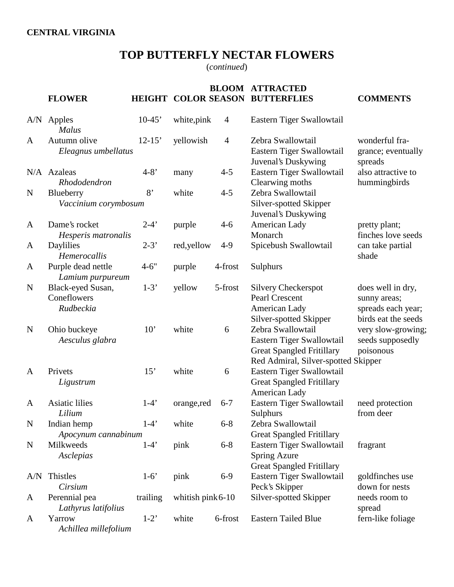## **TOP BUTTERFLY NECTAR FLOWERS**

(*continued*)

|             | <b>FLOWER</b>                                 | <b>HEIGHT</b> |                     |                | <b>BLOOM ATTRACTED</b><br><b>COLOR SEASON BUTTERFLIES</b>                                                                 | <b>COMMENTS</b>                                                                |
|-------------|-----------------------------------------------|---------------|---------------------|----------------|---------------------------------------------------------------------------------------------------------------------------|--------------------------------------------------------------------------------|
|             | A/N Apples<br>Malus                           | $10-45$       | white, pink         | $\overline{4}$ | Eastern Tiger Swallowtail                                                                                                 |                                                                                |
| A           | Autumn olive<br>Eleagnus umbellatus           | $12 - 15'$    | yellowish           | $\overline{4}$ | Zebra Swallowtail<br>Eastern Tiger Swallowtail<br>Juvenal's Duskywing                                                     | wonderful fra-<br>grance; eventually<br>spreads                                |
|             | N/A Azaleas<br>Rhododendron                   | $4 - 8'$      | many                | $4 - 5$        | Eastern Tiger Swallowtail<br>Clearwing moths                                                                              | also attractive to<br>hummingbirds                                             |
| N           | Blueberry<br>Vaccinium corymbosum             | 8'            | white               | $4 - 5$        | Zebra Swallowtail<br>Silver-spotted Skipper<br>Juvenal's Duskywing                                                        |                                                                                |
| A           | Dame's rocket<br>Hesperis matronalis          | $2-4'$        | purple              | $4-6$          | American Lady<br>Monarch                                                                                                  | pretty plant;<br>finches love seeds                                            |
| A           | Daylilies<br>Hemerocallis                     | $2 - 3'$      | red,yellow          | $4-9$          | Spicebush Swallowtail                                                                                                     | can take partial<br>shade                                                      |
| A           | Purple dead nettle<br>Lamium purpureum        | $4 - 6"$      | purple              | 4-frost        | Sulphurs                                                                                                                  |                                                                                |
| $\mathbf N$ | Black-eyed Susan,<br>Coneflowers<br>Rudbeckia | $1-3'$        | yellow              | 5-frost        | <b>Silvery Checkerspot</b><br>Pearl Crescent<br>American Lady<br>Silver-spotted Skipper                                   | does well in dry,<br>sunny areas;<br>spreads each year;<br>birds eat the seeds |
| N           | Ohio buckeye<br>Aesculus glabra               | 10'           | white               | 6              | Zebra Swallowtail<br>Eastern Tiger Swallowtail<br><b>Great Spangled Fritillary</b><br>Red Admiral, Silver-spotted Skipper | very slow-growing;<br>seeds supposedly<br>poisonous                            |
| A           | Privets<br>Ligustrum                          | 15'           | white               | 6              | Eastern Tiger Swallowtail<br><b>Great Spangled Fritillary</b><br>American Lady                                            |                                                                                |
| A           | <b>Asiatic lilies</b><br>Lilium               | $1-4'$        | orange,red          | $6 - 7$        | Eastern Tiger Swallowtail<br>Sulphurs                                                                                     | need protection<br>from deer                                                   |
| $\mathbf N$ | Indian hemp<br>Apocynum cannabinum            | $1-4'$        | white               | $6 - 8$        | Zebra Swallowtail<br><b>Great Spangled Fritillary</b>                                                                     |                                                                                |
| N           | Milkweeds<br>Asclepias                        | $1-4'$        | pink                | $6 - 8$        | Eastern Tiger Swallowtail<br><b>Spring Azure</b><br><b>Great Spangled Fritillary</b>                                      | fragrant                                                                       |
| A/N         | Thistles<br>Cirsium                           | $1-6'$        | pink                | $6-9$          | Eastern Tiger Swallowtail<br>Peck's Skipper                                                                               | goldfinches use<br>down for nests                                              |
| A           | Perennial pea<br>Lathyrus latifolius          | trailing      | whitish $pink 6-10$ |                | Silver-spotted Skipper                                                                                                    | needs room to<br>spread                                                        |
| A           | Yarrow<br>Achillea millefolium                | $1-2$         | white               | 6-frost        | <b>Eastern Tailed Blue</b>                                                                                                | fern-like foliage                                                              |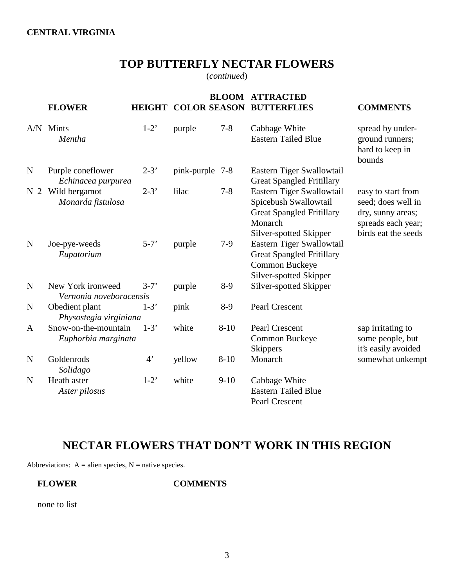#### **CENTRAL VIRGINIA**

# **TOP BUTTERFLY NECTAR FLOWERS**

(*continued*)

|                | <b>FLOWER</b>                                |                    |                 | <b>BLOOM</b> | <b>ATTRACTED</b><br><b>HEIGHT COLOR SEASON BUTTERFLIES</b>                                                                  | <b>COMMENTS</b>                                                                                            |
|----------------|----------------------------------------------|--------------------|-----------------|--------------|-----------------------------------------------------------------------------------------------------------------------------|------------------------------------------------------------------------------------------------------------|
|                | A/N Mints<br>Mentha                          | $1-2$ <sup>*</sup> | purple          | $7 - 8$      | Cabbage White<br><b>Eastern Tailed Blue</b>                                                                                 | spread by under-<br>ground runners;<br>hard to keep in<br>bounds                                           |
| $\mathbf N$    | Purple coneflower<br>Echinacea purpurea      | $2 - 3'$           | pink-purple 7-8 |              | Eastern Tiger Swallowtail<br><b>Great Spangled Fritillary</b>                                                               |                                                                                                            |
| N <sub>2</sub> | Wild bergamot<br>Monarda fistulosa           | $2 - 3'$           | lilac           | $7 - 8$      | Eastern Tiger Swallowtail<br>Spicebush Swallowtail<br><b>Great Spangled Fritillary</b><br>Monarch<br>Silver-spotted Skipper | easy to start from<br>seed; does well in<br>dry, sunny areas;<br>spreads each year;<br>birds eat the seeds |
| $\mathbf N$    | Joe-pye-weeds<br>Eupatorium                  | $5 - 7'$           | purple          | $7-9$        | Eastern Tiger Swallowtail<br><b>Great Spangled Fritillary</b><br>Common Buckeye<br>Silver-spotted Skipper                   |                                                                                                            |
| $\mathbf N$    | New York ironweed<br>Vernonia noveboracensis | $3-7'$             | purple          | $8-9$        | Silver-spotted Skipper                                                                                                      |                                                                                                            |
| N              | Obedient plant<br>Physostegia virginiana     | $1-3'$             | pink            | $8-9$        | Pearl Crescent                                                                                                              |                                                                                                            |
| A              | Snow-on-the-mountain<br>Euphorbia marginata  | $1-3'$             | white           | $8 - 10$     | Pearl Crescent<br>Common Buckeye<br><b>Skippers</b>                                                                         | sap irritating to<br>some people, but<br>it's easily avoided                                               |
| $\mathbf N$    | Goldenrods<br>Solidago                       | $4^{\circ}$        | yellow          | $8 - 10$     | Monarch                                                                                                                     | somewhat unkempt                                                                                           |
| N              | Heath aster<br>Aster pilosus                 | $1-2$ <sup>*</sup> | white           | $9-10$       | Cabbage White<br><b>Eastern Tailed Blue</b><br>Pearl Crescent                                                               |                                                                                                            |

# **NECTAR FLOWERS THAT DON'T WORK IN THIS REGION**

Abbreviations:  $A =$  alien species,  $N =$  native species.

**FLOWER COMMENTS**

none to list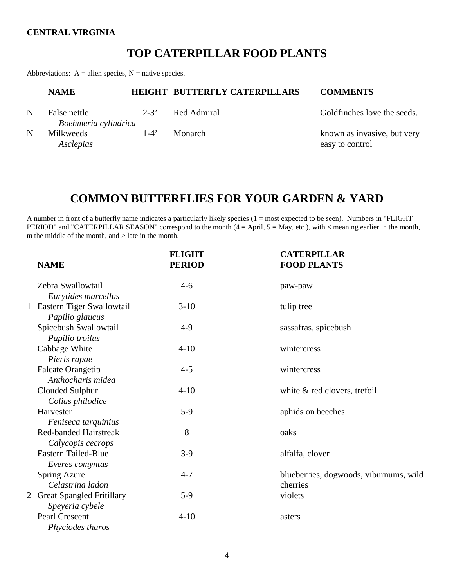#### **CENTRAL VIRGINIA**

### **TOP CATERPILLAR FOOD PLANTS**

Abbreviations:  $A =$  alien species,  $N =$  native species.

|   | <b>NAME</b>                          |          | <b>HEIGHT BUTTERFLY CATERPILLARS</b> | <b>COMMENTS</b>                                |
|---|--------------------------------------|----------|--------------------------------------|------------------------------------------------|
| N | False nettle<br>Boehmeria cylindrica | $2 - 3'$ | Red Admiral                          | Goldfinches love the seeds.                    |
| N | Milkweeds<br>Asclepias               | $1-4'$   | Monarch                              | known as invasive, but very<br>easy to control |

### **COMMON BUTTERFLIES FOR YOUR GARDEN & YARD**

A number in front of a butterfly name indicates a particularly likely species (1 = most expected to be seen). Numbers in "FLIGHT PERIOD" and "CATERPILLAR SEASON" correspond to the month (4 = April, 5 = May, etc.), with < meaning earlier in the month, m the middle of the month, and > late in the month.

| <b>NAME</b>                                       | <b>FLIGHT</b><br><b>PERIOD</b> | <b>CATERPILLAR</b><br><b>FOOD PLANTS</b>           |
|---------------------------------------------------|--------------------------------|----------------------------------------------------|
| Zebra Swallowtail<br>Eurytides marcellus          | $4 - 6$                        | paw-paw                                            |
| 1 Eastern Tiger Swallowtail<br>Papilio glaucus    | $3-10$                         | tulip tree                                         |
| Spicebush Swallowtail<br>Papilio troilus          | $4-9$                          | sassafras, spicebush                               |
| Cabbage White<br>Pieris rapae                     | $4 - 10$                       | wintercress                                        |
| <b>Falcate Orangetip</b><br>Anthocharis midea     | $4 - 5$                        | wintercress                                        |
| Clouded Sulphur<br>Colias philodice               | $4 - 10$                       | white & red clovers, trefoil                       |
| Harvester<br>Feniseca tarquinius                  | $5-9$                          | aphids on beeches                                  |
| <b>Red-banded Hairstreak</b><br>Calycopis cecrops | 8                              | oaks                                               |
| <b>Eastern Tailed-Blue</b><br>Everes comyntas     | $3-9$                          | alfalfa, clover                                    |
| <b>Spring Azure</b><br>Celastrina ladon           | $4 - 7$                        | blueberries, dogwoods, viburnums, wild<br>cherries |
| 2 Great Spangled Fritillary<br>Speyeria cybele    | $5-9$                          | violets                                            |
| Pearl Crescent<br>Phyciodes tharos                | $4 - 10$                       | asters                                             |
|                                                   |                                |                                                    |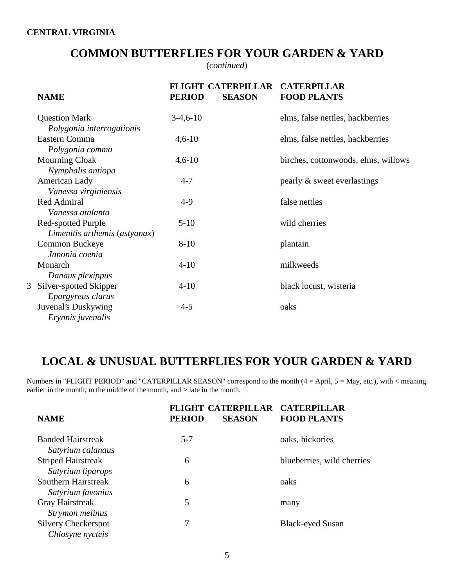### **COMMON BUTTERFLIES FOR YOUR GARDEN & YARD**

(*continued*)

| <b>NAME</b>                                                   | <b>PERIOD</b> | <b>FLIGHT CATERPILLAR</b><br><b>SEASON</b> | <b>CATERPILLAR</b><br><b>FOOD PLANTS</b> |
|---------------------------------------------------------------|---------------|--------------------------------------------|------------------------------------------|
| <b>Question Mark</b>                                          | $3-4,6-10$    |                                            | elms, false nettles, hackberries         |
| Polygonia interrogationis<br>Eastern Comma<br>Polygonia comma | $4,6-10$      |                                            | elms, false nettles, hackberries         |
| <b>Mourning Cloak</b><br>Nymphalis antiopa                    | $4,6-10$      |                                            | birches, cottonwoods, elms, willows      |
| American Lady<br>Vanessa virginiensis                         | $4 - 7$       |                                            | pearly & sweet everlastings              |
| Red Admiral<br>Vanessa atalanta                               | $4-9$         |                                            | false nettles                            |
| <b>Red-spotted Purple</b><br>Limenitis arthemis (astyanax)    | $5-10$        |                                            | wild cherries                            |
| Common Buckeye<br>Junonia coenia                              | $8 - 10$      |                                            | plantain                                 |
| Monarch<br>Danaus plexippus                                   | $4 - 10$      |                                            | milkweeds                                |
| 3 Silver-spotted Skipper<br>Epargyreus clarus                 | $4-10$        |                                            | black locust, wisteria                   |
| Juvenal's Duskywing<br>Erynnis juvenalis                      | $4 - 5$       |                                            | oaks                                     |
|                                                               |               |                                            |                                          |

## **LOCAL & UNUSUAL BUTTERFLIES FOR YOUR GARDEN & YARD**

Numbers in "FLIGHT PERIOD" and "CATERPILLAR SEASON" correspond to the month  $(4 = April, 5 = May, etc.),$  with  $\lt$  meaning earlier in the month, m the middle of the month, and > late in the month.

| <b>NAME</b>                                    | <b>FLIGHT CATERPILLAR</b><br><b>PERIOD</b><br><b>SEASON</b> | <b>CATERPILLAR</b><br><b>FOOD PLANTS</b> |
|------------------------------------------------|-------------------------------------------------------------|------------------------------------------|
| <b>Banded Hairstreak</b><br>Satyrium calanaus  | $5 - 7$                                                     | oaks, hickories                          |
| <b>Striped Hairstreak</b><br>Satyrium liparops | 6                                                           | blueberries, wild cherries               |
| Southern Hairstreak<br>Satyrium favonius       | 6                                                           | oaks                                     |
| <b>Gray Hairstreak</b><br>Strymon melinus      | 5                                                           | many                                     |
| <b>Silvery Checkerspot</b><br>Chlosyne nycteis |                                                             | <b>Black-eyed Susan</b>                  |
|                                                |                                                             |                                          |